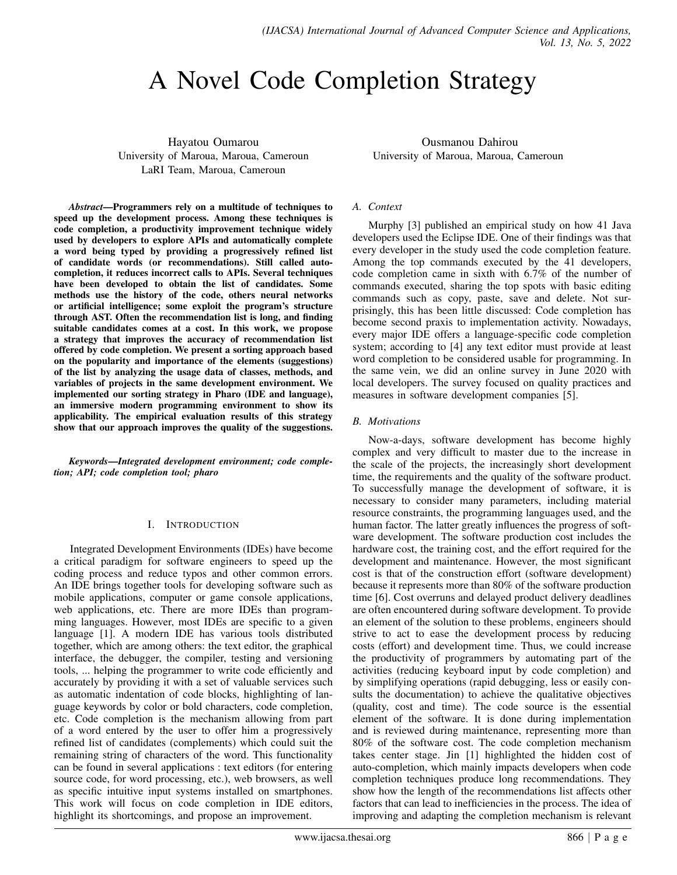# A Novel Code Completion Strategy

Hayatou Oumarou University of Maroua, Maroua, Cameroun LaRI Team, Maroua, Cameroun

*Abstract*—Programmers rely on a multitude of techniques to speed up the development process. Among these techniques is code completion, a productivity improvement technique widely used by developers to explore APIs and automatically complete a word being typed by providing a progressively refined list of candidate words (or recommendations). Still called autocompletion, it reduces incorrect calls to APIs. Several techniques have been developed to obtain the list of candidates. Some methods use the history of the code, others neural networks or artificial intelligence; some exploit the program's structure through AST. Often the recommendation list is long, and finding suitable candidates comes at a cost. In this work, we propose a strategy that improves the accuracy of recommendation list offered by code completion. We present a sorting approach based on the popularity and importance of the elements (suggestions) of the list by analyzing the usage data of classes, methods, and variables of projects in the same development environment. We implemented our sorting strategy in Pharo (IDE and language), an immersive modern programming environment to show its applicability. The empirical evaluation results of this strategy show that our approach improves the quality of the suggestions.

*Keywords*—*Integrated development environment; code completion; API; code completion tool; pharo*

#### I. INTRODUCTION

Integrated Development Environments (IDEs) have become a critical paradigm for software engineers to speed up the coding process and reduce typos and other common errors. An IDE brings together tools for developing software such as mobile applications, computer or game console applications, web applications, etc. There are more IDEs than programming languages. However, most IDEs are specific to a given language [1]. A modern IDE has various tools distributed together, which are among others: the text editor, the graphical interface, the debugger, the compiler, testing and versioning tools, ... helping the programmer to write code efficiently and accurately by providing it with a set of valuable services such as automatic indentation of code blocks, highlighting of language keywords by color or bold characters, code completion, etc. Code completion is the mechanism allowing from part of a word entered by the user to offer him a progressively refined list of candidates (complements) which could suit the remaining string of characters of the word. This functionality can be found in several applications : text editors (for entering source code, for word processing, etc.), web browsers, as well as specific intuitive input systems installed on smartphones. This work will focus on code completion in IDE editors, highlight its shortcomings, and propose an improvement.

Ousmanou Dahirou University of Maroua, Maroua, Cameroun

## *A. Context*

Murphy [3] published an empirical study on how 41 Java developers used the Eclipse IDE. One of their findings was that every developer in the study used the code completion feature. Among the top commands executed by the 41 developers, code completion came in sixth with 6.7% of the number of commands executed, sharing the top spots with basic editing commands such as copy, paste, save and delete. Not surprisingly, this has been little discussed: Code completion has become second praxis to implementation activity. Nowadays, every major IDE offers a language-specific code completion system; according to [4] any text editor must provide at least word completion to be considered usable for programming. In the same vein, we did an online survey in June 2020 with local developers. The survey focused on quality practices and measures in software development companies [5].

#### *B. Motivations*

Now-a-days, software development has become highly complex and very difficult to master due to the increase in the scale of the projects, the increasingly short development time, the requirements and the quality of the software product. To successfully manage the development of software, it is necessary to consider many parameters, including material resource constraints, the programming languages used, and the human factor. The latter greatly influences the progress of software development. The software production cost includes the hardware cost, the training cost, and the effort required for the development and maintenance. However, the most significant cost is that of the construction effort (software development) because it represents more than 80% of the software production time [6]. Cost overruns and delayed product delivery deadlines are often encountered during software development. To provide an element of the solution to these problems, engineers should strive to act to ease the development process by reducing costs (effort) and development time. Thus, we could increase the productivity of programmers by automating part of the activities (reducing keyboard input by code completion) and by simplifying operations (rapid debugging, less or easily consults the documentation) to achieve the qualitative objectives (quality, cost and time). The code source is the essential element of the software. It is done during implementation and is reviewed during maintenance, representing more than 80% of the software cost. The code completion mechanism takes center stage. Jin [1] highlighted the hidden cost of auto-completion, which mainly impacts developers when code completion techniques produce long recommendations. They show how the length of the recommendations list affects other factors that can lead to inefficiencies in the process. The idea of improving and adapting the completion mechanism is relevant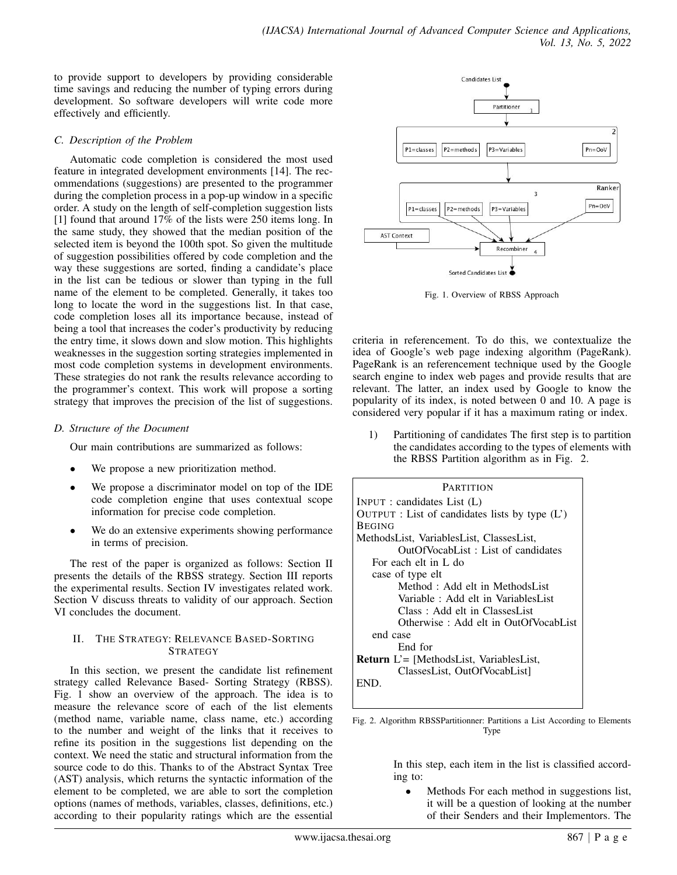to provide support to developers by providing considerable time savings and reducing the number of typing errors during development. So software developers will write code more effectively and efficiently.

## *C. Description of the Problem*

Automatic code completion is considered the most used feature in integrated development environments [14]. The recommendations (suggestions) are presented to the programmer during the completion process in a pop-up window in a specific order. A study on the length of self-completion suggestion lists [1] found that around 17% of the lists were 250 items long. In the same study, they showed that the median position of the selected item is beyond the 100th spot. So given the multitude of suggestion possibilities offered by code completion and the way these suggestions are sorted, finding a candidate's place in the list can be tedious or slower than typing in the full name of the element to be completed. Generally, it takes too long to locate the word in the suggestions list. In that case, code completion loses all its importance because, instead of being a tool that increases the coder's productivity by reducing the entry time, it slows down and slow motion. This highlights weaknesses in the suggestion sorting strategies implemented in most code completion systems in development environments. These strategies do not rank the results relevance according to the programmer's context. This work will propose a sorting strategy that improves the precision of the list of suggestions.

# *D. Structure of the Document*

Our main contributions are summarized as follows:

- We propose a new prioritization method.
- We propose a discriminator model on top of the IDE code completion engine that uses contextual scope information for precise code completion.
- We do an extensive experiments showing performance in terms of precision.

The rest of the paper is organized as follows: Section II presents the details of the RBSS strategy. Section III reports the experimental results. Section IV investigates related work. Section V discuss threats to validity of our approach. Section VI concludes the document.

#### II. THE STRATEGY: RELEVANCE BASED-SORTING **STRATEGY**

In this section, we present the candidate list refinement strategy called Relevance Based- Sorting Strategy (RBSS). Fig. 1 show an overview of the approach. The idea is to measure the relevance score of each of the list elements (method name, variable name, class name, etc.) according to the number and weight of the links that it receives to refine its position in the suggestions list depending on the context. We need the static and structural information from the source code to do this. Thanks to of the Abstract Syntax Tree (AST) analysis, which returns the syntactic information of the element to be completed, we are able to sort the completion options (names of methods, variables, classes, definitions, etc.) according to their popularity ratings which are the essential



Fig. 1. Overview of RBSS Approach

criteria in referencement. To do this, we contextualize the idea of Google's web page indexing algorithm (PageRank). PageRank is an referencement technique used by the Google search engine to index web pages and provide results that are relevant. The latter, an index used by Google to know the popularity of its index, is noted between 0 and 10. A page is considered very popular if it has a maximum rating or index.

1) Partitioning of candidates The first step is to partition the candidates according to the types of elements with the RBSS Partition algorithm as in Fig. 2.

| <b>PARTITION</b>                                 |
|--------------------------------------------------|
| INPUT : candidates List $(L)$                    |
| OUTPUT : List of candidates lists by type $(L')$ |
| <b>BEGING</b>                                    |
| MethodsList, VariablesList, ClassesList,         |
| OutOfVocabList: List of candidates               |
| For each elt in L do                             |
| case of type elt                                 |
| Method: Add elt in MethodsList                   |
| Variable : Add elt in VariablesList              |
| Class: Add elt in ClassesList                    |
| Otherwise: Add elt in OutOfVocabList             |
| end case                                         |
| End for                                          |
| Return L'= [MethodsList, VariablesList,          |
| ClassesList, OutOfVocabList]                     |
| END.                                             |
|                                                  |

Fig. 2. Algorithm RBSSPartitionner: Partitions a List According to Elements Type

> In this step, each item in the list is classified according to:

• Methods For each method in suggestions list, it will be a question of looking at the number of their Senders and their Implementors. The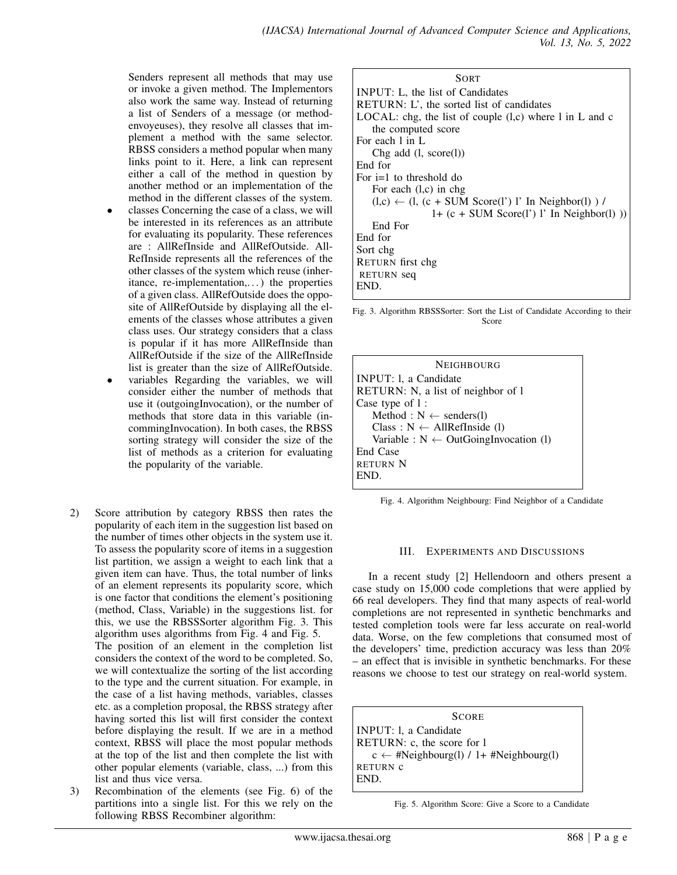Senders represent all methods that may use or invoke a given method. The Implementors also work the same way. Instead of returning a list of Senders of a message (or methodenvoyeuses), they resolve all classes that implement a method with the same selector. RBSS considers a method popular when many links point to it. Here, a link can represent either a call of the method in question by another method or an implementation of the method in the different classes of the system.

- classes Concerning the case of a class, we will be interested in its references as an attribute for evaluating its popularity. These references are : AllRefInside and AllRefOutside. All-RefInside represents all the references of the other classes of the system which reuse (inheritance, re-implementation,. . . ) the properties of a given class. AllRefOutside does the opposite of AllRefOutside by displaying all the elements of the classes whose attributes a given class uses. Our strategy considers that a class is popular if it has more AllRefInside than AllRefOutside if the size of the AllRefInside list is greater than the size of AllRefOutside.
- variables Regarding the variables, we will consider either the number of methods that use it (outgoingInvocation), or the number of methods that store data in this variable (incommingInvocation). In both cases, the RBSS sorting strategy will consider the size of the list of methods as a criterion for evaluating the popularity of the variable.
- 2) Score attribution by category RBSS then rates the popularity of each item in the suggestion list based on the number of times other objects in the system use it. To assess the popularity score of items in a suggestion list partition, we assign a weight to each link that a given item can have. Thus, the total number of links of an element represents its popularity score, which is one factor that conditions the element's positioning (method, Class, Variable) in the suggestions list. for this, we use the RBSSSorter algorithm Fig. 3. This algorithm uses algorithms from Fig. 4 and Fig. 5. The position of an element in the completion list considers the context of the word to be completed. So, we will contextualize the sorting of the list according to the type and the current situation. For example, in the case of a list having methods, variables, classes etc. as a completion proposal, the RBSS strategy after having sorted this list will first consider the context before displaying the result. If we are in a method context, RBSS will place the most popular methods at the top of the list and then complete the list with other popular elements (variable, class, ...) from this list and thus vice versa.
- 3) Recombination of the elements (see Fig. 6) of the partitions into a single list. For this we rely on the following RBSS Recombiner algorithm:

| <b>SORT</b>                                                     |
|-----------------------------------------------------------------|
| INPUT: L, the list of Candidates                                |
| RETURN: L', the sorted list of candidates                       |
| LOCAL: chg, the list of couple $(l,c)$ where l in L and c       |
| the computed score                                              |
| For each 1 in L                                                 |
| Chg add $(l, score(l))$                                         |
| End for                                                         |
| For $i=1$ to threshold do                                       |
| For each $(l,c)$ in chg                                         |
| $(l,c) \leftarrow (l, (c + SUM Score(l'))$ l' In Neighbor(l)) / |
| $1+$ (c + SUM Score(1') 1' In Neighbor(1) ))                    |
| End For                                                         |
| End for                                                         |
| Sort chg                                                        |
| RETURN first chg                                                |
| RETURN seq                                                      |
| END.                                                            |

Fig. 3. Algorithm RBSSSorter: Sort the List of Candidate According to their Score

| NEIGHBOURG                                       |
|--------------------------------------------------|
| INPUT: 1, a Candidate                            |
| RETURN: N, a list of neighbor of 1               |
| Case type of 1:                                  |
| Method : $N \leftarrow$ senders(1)               |
| Class : $N \leftarrow AllRefInside (1)$          |
| Variable : $N \leftarrow$ OutGoingInvocation (1) |
| End Case                                         |
| <b>RETURN N</b>                                  |
| END.                                             |

Fig. 4. Algorithm Neighbourg: Find Neighbor of a Candidate

#### III. EXPERIMENTS AND DISCUSSIONS

In a recent study [2] Hellendoorn and others present a case study on 15,000 code completions that were applied by 66 real developers. They find that many aspects of real-world completions are not represented in synthetic benchmarks and tested completion tools were far less accurate on real-world data. Worse, on the few completions that consumed most of the developers' time, prediction accuracy was less than 20% – an effect that is invisible in synthetic benchmarks. For these reasons we choose to test our strategy on real-world system.

**SCORE** INPUT: l, a Candidate RETURN: c, the score for l  $c \leftarrow #Neighbourg(1) / 1 + #Neighbourg(1)$ RETURN c END.

Fig. 5. Algorithm Score: Give a Score to a Candidate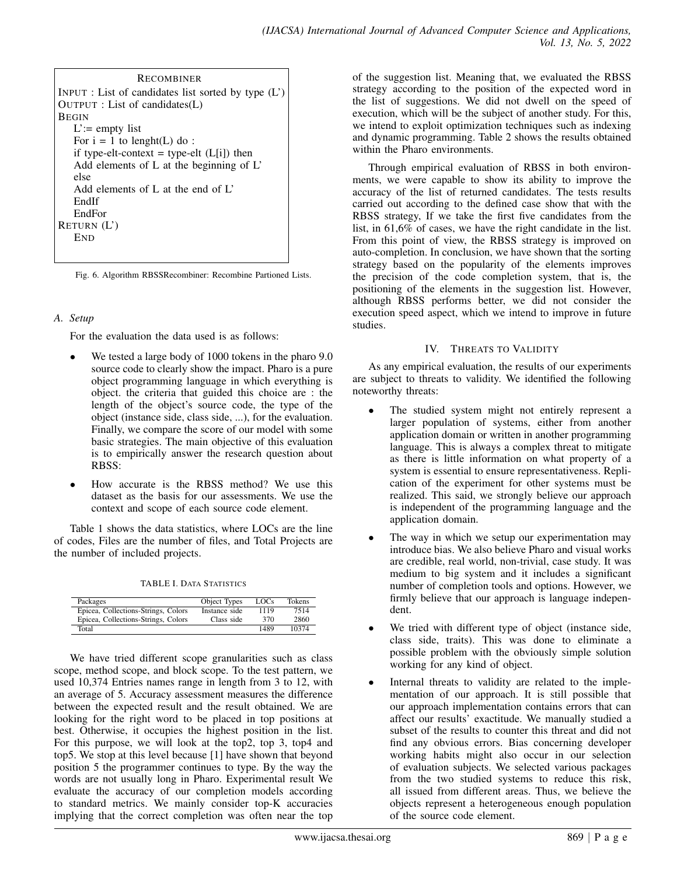| <b>RECOMBINER</b>                                     |
|-------------------------------------------------------|
| INPUT : List of candidates list sorted by type $(L')$ |
| OUTPUT : List of candidates(L)                        |
| <b>BEGIN</b>                                          |
| $L' :=$ empty list                                    |
| For $i = 1$ to lenght(L) do:                          |
| if type-elt-context = type-elt $(L[i])$ then          |
| Add elements of L at the beginning of $L^2$           |
| else                                                  |
| Add elements of L at the end of L'                    |
| EndIf                                                 |
| EndFor                                                |
| RETURN $(L')$                                         |
| <b>END</b>                                            |
|                                                       |

Fig. 6. Algorithm RBSSRecombiner: Recombine Partioned Lists.

# *A. Setup*

For the evaluation the data used is as follows:

- We tested a large body of 1000 tokens in the pharo 9.0 source code to clearly show the impact. Pharo is a pure object programming language in which everything is object. the criteria that guided this choice are : the length of the object's source code, the type of the object (instance side, class side, ...), for the evaluation. Finally, we compare the score of our model with some basic strategies. The main objective of this evaluation is to empirically answer the research question about RBSS:
- How accurate is the RBSS method? We use this dataset as the basis for our assessments. We use the context and scope of each source code element.

Table 1 shows the data statistics, where LOCs are the line of codes, Files are the number of files, and Total Projects are the number of included projects.

TABLE I. DATA STATISTICS

| Packages                            | Object Types  | LOCs | Tokens |
|-------------------------------------|---------------|------|--------|
| Epicea, Collections-Strings, Colors | Instance side | 1119 | 7514   |
| Epicea, Collections-Strings, Colors | Class side    | 370  | 2860   |
| Total                               |               | 1489 | 10374  |

We have tried different scope granularities such as class scope, method scope, and block scope. To the test pattern, we used 10,374 Entries names range in length from 3 to 12, with an average of 5. Accuracy assessment measures the difference between the expected result and the result obtained. We are looking for the right word to be placed in top positions at best. Otherwise, it occupies the highest position in the list. For this purpose, we will look at the top2, top 3, top4 and top5. We stop at this level because [1] have shown that beyond position 5 the programmer continues to type. By the way the words are not usually long in Pharo. Experimental result We evaluate the accuracy of our completion models according to standard metrics. We mainly consider top-K accuracies implying that the correct completion was often near the top

of the suggestion list. Meaning that, we evaluated the RBSS strategy according to the position of the expected word in the list of suggestions. We did not dwell on the speed of execution, which will be the subject of another study. For this, we intend to exploit optimization techniques such as indexing and dynamic programming. Table 2 shows the results obtained within the Pharo environments.

Through empirical evaluation of RBSS in both environments, we were capable to show its ability to improve the accuracy of the list of returned candidates. The tests results carried out according to the defined case show that with the RBSS strategy, If we take the first five candidates from the list, in 61,6% of cases, we have the right candidate in the list. From this point of view, the RBSS strategy is improved on auto-completion. In conclusion, we have shown that the sorting strategy based on the popularity of the elements improves the precision of the code completion system, that is, the positioning of the elements in the suggestion list. However, although RBSS performs better, we did not consider the execution speed aspect, which we intend to improve in future studies.

# IV. THREATS TO VALIDITY

As any empirical evaluation, the results of our experiments are subject to threats to validity. We identified the following noteworthy threats:

- The studied system might not entirely represent a larger population of systems, either from another application domain or written in another programming language. This is always a complex threat to mitigate as there is little information on what property of a system is essential to ensure representativeness. Replication of the experiment for other systems must be realized. This said, we strongly believe our approach is independent of the programming language and the application domain.
- The way in which we setup our experimentation may introduce bias. We also believe Pharo and visual works are credible, real world, non-trivial, case study. It was medium to big system and it includes a significant number of completion tools and options. However, we firmly believe that our approach is language independent.
- We tried with different type of object (instance side, class side, traits). This was done to eliminate a possible problem with the obviously simple solution working for any kind of object.
- Internal threats to validity are related to the implementation of our approach. It is still possible that our approach implementation contains errors that can affect our results' exactitude. We manually studied a subset of the results to counter this threat and did not find any obvious errors. Bias concerning developer working habits might also occur in our selection of evaluation subjects. We selected various packages from the two studied systems to reduce this risk, all issued from different areas. Thus, we believe the objects represent a heterogeneous enough population of the source code element.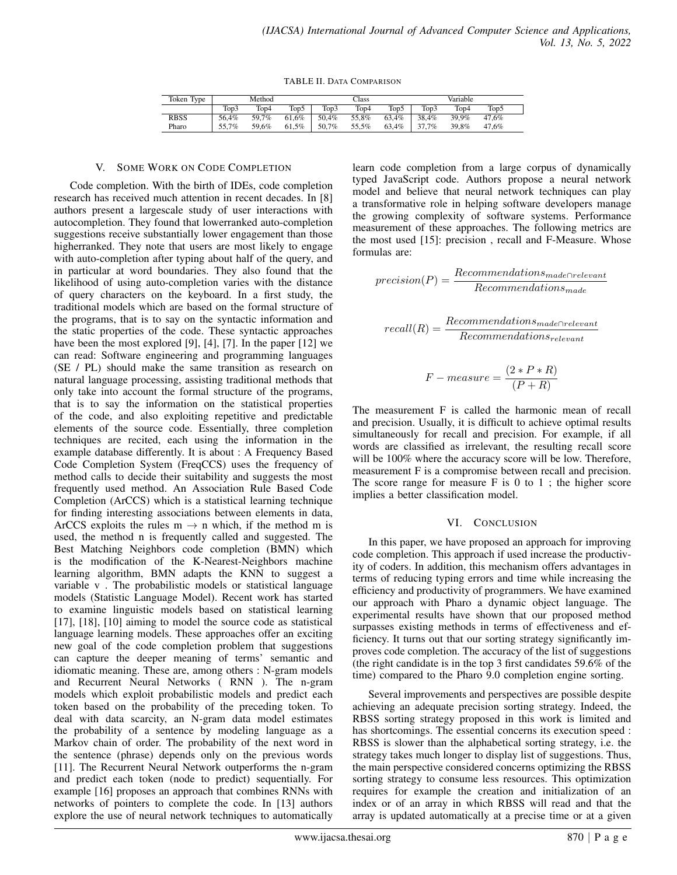TABLE II. DATA COMPARISON

| Token Type  | Method |       |       | Class |       |                  | Variable |       |       |
|-------------|--------|-------|-------|-------|-------|------------------|----------|-------|-------|
|             | Top3   | Top4  | Top5  | Top3  | Top4  | Top <sub>5</sub> | Top3     | Top4  | Top5  |
| <b>RBSS</b> | 56.4%  | 59.7% | 61.6% | 50.4% | 55.8% | 63.4%            | 38.4%    | 39.9% | 47.6% |
| Pharo       | 55.7%  | 59.6% | 61.5% | 50.7% | 55.5% | 63.4%            | 37.7%    | 39.8% | 47.6% |

#### V. SOME WORK ON CODE COMPLETION

Code completion. With the birth of IDEs, code completion research has received much attention in recent decades. In [8] authors present a largescale study of user interactions with autocompletion. They found that lowerranked auto-completion suggestions receive substantially lower engagement than those higherranked. They note that users are most likely to engage with auto-completion after typing about half of the query, and in particular at word boundaries. They also found that the likelihood of using auto-completion varies with the distance of query characters on the keyboard. In a first study, the traditional models which are based on the formal structure of the programs, that is to say on the syntactic information and the static properties of the code. These syntactic approaches have been the most explored [9], [4], [7]. In the paper [12] we can read: Software engineering and programming languages (SE / PL) should make the same transition as research on natural language processing, assisting traditional methods that only take into account the formal structure of the programs, that is to say the information on the statistical properties of the code, and also exploiting repetitive and predictable elements of the source code. Essentially, three completion techniques are recited, each using the information in the example database differently. It is about : A Frequency Based Code Completion System (FreqCCS) uses the frequency of method calls to decide their suitability and suggests the most frequently used method. An Association Rule Based Code Completion (ArCCS) which is a statistical learning technique for finding interesting associations between elements in data, ArCCS exploits the rules  $m \rightarrow n$  which, if the method m is used, the method n is frequently called and suggested. The Best Matching Neighbors code completion (BMN) which is the modification of the K-Nearest-Neighbors machine learning algorithm, BMN adapts the KNN to suggest a variable v . The probabilistic models or statistical language models (Statistic Language Model). Recent work has started to examine linguistic models based on statistical learning [17], [18], [10] aiming to model the source code as statistical language learning models. These approaches offer an exciting new goal of the code completion problem that suggestions can capture the deeper meaning of terms' semantic and idiomatic meaning. These are, among others : N-gram models and Recurrent Neural Networks ( RNN ). The n-gram models which exploit probabilistic models and predict each token based on the probability of the preceding token. To deal with data scarcity, an N-gram data model estimates the probability of a sentence by modeling language as a Markov chain of order. The probability of the next word in the sentence (phrase) depends only on the previous words [11]. The Recurrent Neural Network outperforms the n-gram and predict each token (node to predict) sequentially. For example [16] proposes an approach that combines RNNs with networks of pointers to complete the code. In [13] authors explore the use of neural network techniques to automatically

learn code completion from a large corpus of dynamically typed JavaScript code. Authors propose a neural network model and believe that neural network techniques can play a transformative role in helping software developers manage the growing complexity of software systems. Performance measurement of these approaches. The following metrics are the most used [15]: precision , recall and F-Measure. Whose formulas are:

 $precision(P) = \frac{Recommendations_{made \cap relevant}}{Recommendations_{made}}$ 

$$
recall(R) = \frac{Recommendations_{made \cap relevant}}{Recommendations_{relevant}}
$$

$$
F-measure = \frac{(2*P*R)}{(P+R)}
$$

The measurement F is called the harmonic mean of recall and precision. Usually, it is difficult to achieve optimal results simultaneously for recall and precision. For example, if all words are classified as irrelevant, the resulting recall score will be  $100\%$  where the accuracy score will be low. Therefore, measurement F is a compromise between recall and precision. The score range for measure  $F$  is 0 to 1; the higher score implies a better classification model.

#### VI. CONCLUSION

In this paper, we have proposed an approach for improving code completion. This approach if used increase the productivity of coders. In addition, this mechanism offers advantages in terms of reducing typing errors and time while increasing the efficiency and productivity of programmers. We have examined our approach with Pharo a dynamic object language. The experimental results have shown that our proposed method surpasses existing methods in terms of effectiveness and efficiency. It turns out that our sorting strategy significantly improves code completion. The accuracy of the list of suggestions (the right candidate is in the top 3 first candidates 59.6% of the time) compared to the Pharo 9.0 completion engine sorting.

Several improvements and perspectives are possible despite achieving an adequate precision sorting strategy. Indeed, the RBSS sorting strategy proposed in this work is limited and has shortcomings. The essential concerns its execution speed : RBSS is slower than the alphabetical sorting strategy, i.e. the strategy takes much longer to display list of suggestions. Thus, the main perspective considered concerns optimizing the RBSS sorting strategy to consume less resources. This optimization requires for example the creation and initialization of an index or of an array in which RBSS will read and that the array is updated automatically at a precise time or at a given